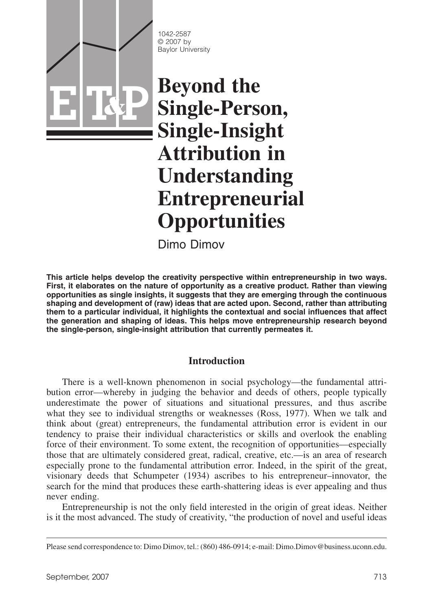

1042-2587 © 2007 by Baylor University

# **Beyond the Single-Person, Single-Insight Attribution in Understanding Entrepreneurial Opportunities**

Dimo Dimov

**This article helps develop the creativity perspective within entrepreneurship in two ways. First, it elaborates on the nature of opportunity as a creative product. Rather than viewing opportunities as single insights, it suggests that they are emerging through the continuous shaping and development of (raw) ideas that are acted upon. Second, rather than attributing them to a particular individual, it highlights the contextual and social influences that affect the generation and shaping of ideas. This helps move entrepreneurship research beyond the single-person, single-insight attribution that currently permeates it.**

# **Introduction**

There is a well-known phenomenon in social psychology—the fundamental attribution error—whereby in judging the behavior and deeds of others, people typically underestimate the power of situations and situational pressures, and thus ascribe what they see to individual strengths or weaknesses (Ross, 1977). When we talk and think about (great) entrepreneurs, the fundamental attribution error is evident in our tendency to praise their individual characteristics or skills and overlook the enabling force of their environment. To some extent, the recognition of opportunities—especially those that are ultimately considered great, radical, creative, etc.—is an area of research especially prone to the fundamental attribution error. Indeed, in the spirit of the great, visionary deeds that Schumpeter (1934) ascribes to his entrepreneur–innovator, the search for the mind that produces these earth-shattering ideas is ever appealing and thus never ending.

Entrepreneurship is not the only field interested in the origin of great ideas. Neither is it the most advanced. The study of creativity, "the production of novel and useful ideas

Please send correspondence to: Dimo Dimov, tel.: (860) 486-0914; e-mail: Dimo.[Dimov@business.uconn.edu.](mailto:Dimov@business.uconn.edu)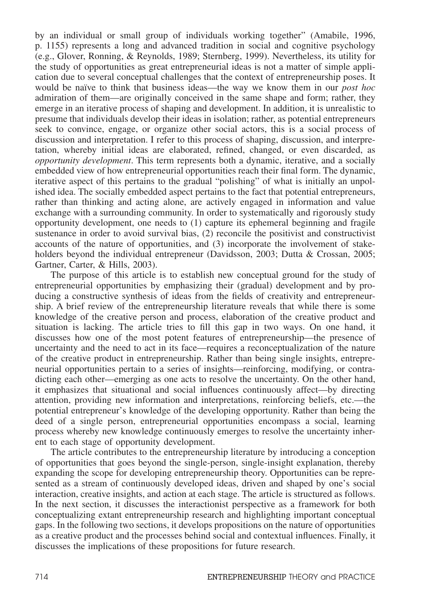by an individual or small group of individuals working together" (Amabile, 1996, p. 1155) represents a long and advanced tradition in social and cognitive psychology (e.g., Glover, Ronning, & Reynolds, 1989; Sternberg, 1999). Nevertheless, its utility for the study of opportunities as great entrepreneurial ideas is not a matter of simple application due to several conceptual challenges that the context of entrepreneurship poses. It would be naïve to think that business ideas—the way we know them in our *post hoc* admiration of them—are originally conceived in the same shape and form; rather, they emerge in an iterative process of shaping and development. In addition, it is unrealistic to presume that individuals develop their ideas in isolation; rather, as potential entrepreneurs seek to convince, engage, or organize other social actors, this is a social process of discussion and interpretation. I refer to this process of shaping, discussion, and interpretation, whereby initial ideas are elaborated, refined, changed, or even discarded, as *opportunity development*. This term represents both a dynamic, iterative, and a socially embedded view of how entrepreneurial opportunities reach their final form. The dynamic, iterative aspect of this pertains to the gradual "polishing" of what is initially an unpolished idea. The socially embedded aspect pertains to the fact that potential entrepreneurs, rather than thinking and acting alone, are actively engaged in information and value exchange with a surrounding community. In order to systematically and rigorously study opportunity development, one needs to (1) capture its ephemeral beginning and fragile sustenance in order to avoid survival bias, (2) reconcile the positivist and constructivist accounts of the nature of opportunities, and (3) incorporate the involvement of stakeholders beyond the individual entrepreneur (Davidsson, 2003; Dutta & Crossan, 2005; Gartner, Carter, & Hills, 2003).

The purpose of this article is to establish new conceptual ground for the study of entrepreneurial opportunities by emphasizing their (gradual) development and by producing a constructive synthesis of ideas from the fields of creativity and entrepreneurship. A brief review of the entrepreneurship literature reveals that while there is some knowledge of the creative person and process, elaboration of the creative product and situation is lacking. The article tries to fill this gap in two ways. On one hand, it discusses how one of the most potent features of entrepreneurship—the presence of uncertainty and the need to act in its face—requires a reconceptualization of the nature of the creative product in entrepreneurship. Rather than being single insights, entrepreneurial opportunities pertain to a series of insights—reinforcing, modifying, or contradicting each other—emerging as one acts to resolve the uncertainty. On the other hand, it emphasizes that situational and social influences continuously affect—by directing attention, providing new information and interpretations, reinforcing beliefs, etc.—the potential entrepreneur's knowledge of the developing opportunity. Rather than being the deed of a single person, entrepreneurial opportunities encompass a social, learning process whereby new knowledge continuously emerges to resolve the uncertainty inherent to each stage of opportunity development.

The article contributes to the entrepreneurship literature by introducing a conception of opportunities that goes beyond the single-person, single-insight explanation, thereby expanding the scope for developing entrepreneurship theory. Opportunities can be represented as a stream of continuously developed ideas, driven and shaped by one's social interaction, creative insights, and action at each stage. The article is structured as follows. In the next section, it discusses the interactionist perspective as a framework for both conceptualizing extant entrepreneurship research and highlighting important conceptual gaps. In the following two sections, it develops propositions on the nature of opportunities as a creative product and the processes behind social and contextual influences. Finally, it discusses the implications of these propositions for future research.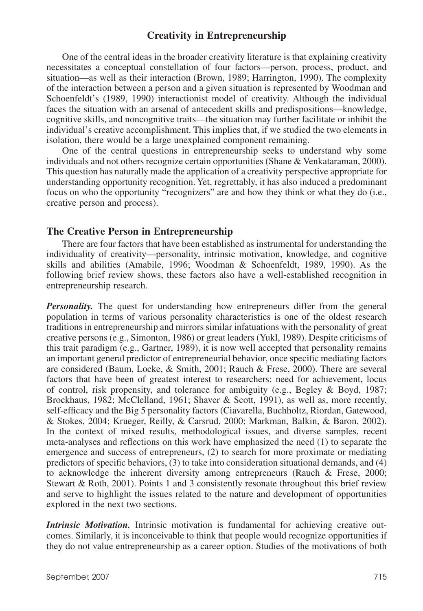# **Creativity in Entrepreneurship**

One of the central ideas in the broader creativity literature is that explaining creativity necessitates a conceptual constellation of four factors—person, process, product, and situation—as well as their interaction (Brown, 1989; Harrington, 1990). The complexity of the interaction between a person and a given situation is represented by Woodman and Schoenfeldt's (1989, 1990) interactionist model of creativity. Although the individual faces the situation with an arsenal of antecedent skills and predispositions—knowledge, cognitive skills, and noncognitive traits—the situation may further facilitate or inhibit the individual's creative accomplishment. This implies that, if we studied the two elements in isolation, there would be a large unexplained component remaining.

One of the central questions in entrepreneurship seeks to understand why some individuals and not others recognize certain opportunities (Shane & Venkataraman, 2000). This question has naturally made the application of a creativity perspective appropriate for understanding opportunity recognition. Yet, regrettably, it has also induced a predominant focus on who the opportunity "recognizers" are and how they think or what they do (i.e., creative person and process).

#### **The Creative Person in Entrepreneurship**

There are four factors that have been established as instrumental for understanding the individuality of creativity—personality, intrinsic motivation, knowledge, and cognitive skills and abilities (Amabile, 1996; Woodman & Schoenfeldt, 1989, 1990). As the following brief review shows, these factors also have a well-established recognition in entrepreneurship research.

*Personality.* The quest for understanding how entrepreneurs differ from the general population in terms of various personality characteristics is one of the oldest research traditions in entrepreneurship and mirrors similar infatuations with the personality of great creative persons (e.g., Simonton, 1986) or great leaders (Yukl, 1989). Despite criticisms of this trait paradigm (e.g., Gartner, 1989), it is now well accepted that personality remains an important general predictor of entrepreneurial behavior, once specific mediating factors are considered (Baum, Locke, & Smith, 2001; Rauch & Frese, 2000). There are several factors that have been of greatest interest to researchers: need for achievement, locus of control, risk propensity, and tolerance for ambiguity (e.g., Begley & Boyd, 1987; Brockhaus, 1982; McClelland, 1961; Shaver & Scott, 1991), as well as, more recently, self-efficacy and the Big 5 personality factors (Ciavarella, Buchholtz, Riordan, Gatewood, & Stokes, 2004; Krueger, Reilly, & Carsrud, 2000; Markman, Balkin, & Baron, 2002). In the context of mixed results, methodological issues, and diverse samples, recent meta-analyses and reflections on this work have emphasized the need (1) to separate the emergence and success of entrepreneurs, (2) to search for more proximate or mediating predictors of specific behaviors, (3) to take into consideration situational demands, and (4) to acknowledge the inherent diversity among entrepreneurs (Rauch & Frese, 2000; Stewart & Roth, 2001). Points 1 and 3 consistently resonate throughout this brief review and serve to highlight the issues related to the nature and development of opportunities explored in the next two sections.

*Intrinsic Motivation.* Intrinsic motivation is fundamental for achieving creative outcomes. Similarly, it is inconceivable to think that people would recognize opportunities if they do not value entrepreneurship as a career option. Studies of the motivations of both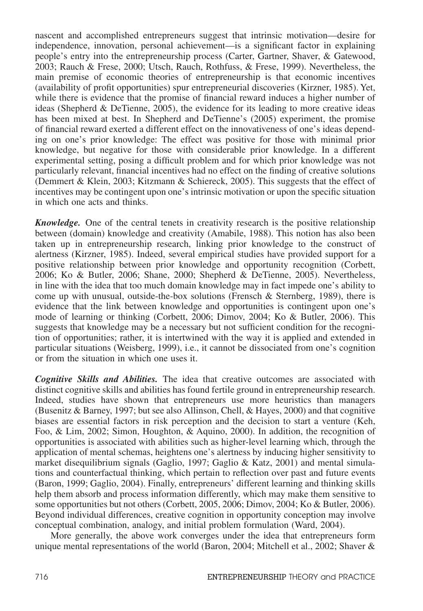nascent and accomplished entrepreneurs suggest that intrinsic motivation—desire for independence, innovation, personal achievement—is a significant factor in explaining people's entry into the entrepreneurship process (Carter, Gartner, Shaver, & Gatewood, 2003; Rauch & Frese, 2000; Utsch, Rauch, Rothfuss, & Frese, 1999). Nevertheless, the main premise of economic theories of entrepreneurship is that economic incentives (availability of profit opportunities) spur entrepreneurial discoveries (Kirzner, 1985). Yet, while there is evidence that the promise of financial reward induces a higher number of ideas (Shepherd & DeTienne, 2005), the evidence for its leading to more creative ideas has been mixed at best. In Shepherd and DeTienne's (2005) experiment, the promise of financial reward exerted a different effect on the innovativeness of one's ideas depending on one's prior knowledge: The effect was positive for those with minimal prior knowledge, but negative for those with considerable prior knowledge. In a different experimental setting, posing a difficult problem and for which prior knowledge was not particularly relevant, financial incentives had no effect on the finding of creative solutions (Demmert & Klein, 2003; Kitzmann & Schiereck, 2005). This suggests that the effect of incentives may be contingent upon one's intrinsic motivation or upon the specific situation in which one acts and thinks.

*Knowledge.* One of the central tenets in creativity research is the positive relationship between (domain) knowledge and creativity (Amabile, 1988). This notion has also been taken up in entrepreneurship research, linking prior knowledge to the construct of alertness (Kirzner, 1985). Indeed, several empirical studies have provided support for a positive relationship between prior knowledge and opportunity recognition (Corbett, 2006; Ko & Butler, 2006; Shane, 2000; Shepherd & DeTienne, 2005). Nevertheless, in line with the idea that too much domain knowledge may in fact impede one's ability to come up with unusual, outside-the-box solutions (Frensch & Sternberg, 1989), there is evidence that the link between knowledge and opportunities is contingent upon one's mode of learning or thinking (Corbett, 2006; Dimov, 2004; Ko & Butler, 2006). This suggests that knowledge may be a necessary but not sufficient condition for the recognition of opportunities; rather, it is intertwined with the way it is applied and extended in particular situations (Weisberg, 1999), i.e., it cannot be dissociated from one's cognition or from the situation in which one uses it.

*Cognitive Skills and Abilities.* The idea that creative outcomes are associated with distinct cognitive skills and abilities has found fertile ground in entrepreneurship research. Indeed, studies have shown that entrepreneurs use more heuristics than managers (Busenitz & Barney, 1997; but see also Allinson, Chell, & Hayes, 2000) and that cognitive biases are essential factors in risk perception and the decision to start a venture (Keh, Foo, & Lim, 2002; Simon, Houghton, & Aquino, 2000). In addition, the recognition of opportunities is associated with abilities such as higher-level learning which, through the application of mental schemas, heightens one's alertness by inducing higher sensitivity to market disequilibrium signals (Gaglio, 1997; Gaglio & Katz, 2001) and mental simulations and counterfactual thinking, which pertain to reflection over past and future events (Baron, 1999; Gaglio, 2004). Finally, entrepreneurs' different learning and thinking skills help them absorb and process information differently, which may make them sensitive to some opportunities but not others (Corbett, 2005, 2006; Dimov, 2004; Ko & Butler, 2006). Beyond individual differences, creative cognition in opportunity conception may involve conceptual combination, analogy, and initial problem formulation (Ward, 2004).

More generally, the above work converges under the idea that entrepreneurs form unique mental representations of the world (Baron, 2004; Mitchell et al., 2002; Shaver &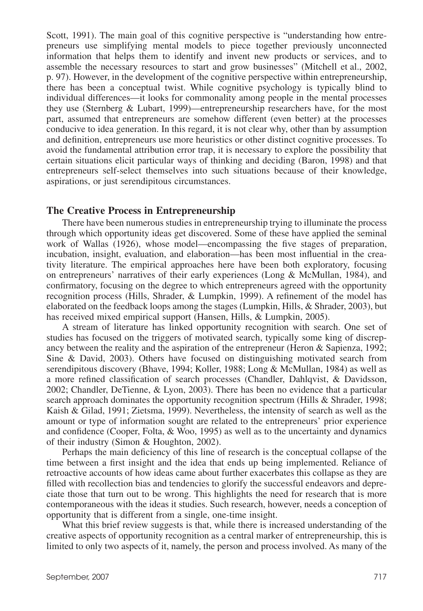Scott, 1991). The main goal of this cognitive perspective is "understanding how entrepreneurs use simplifying mental models to piece together previously unconnected information that helps them to identify and invent new products or services, and to assemble the necessary resources to start and grow businesses" (Mitchell et al., 2002, p. 97). However, in the development of the cognitive perspective within entrepreneurship, there has been a conceptual twist. While cognitive psychology is typically blind to individual differences—it looks for commonality among people in the mental processes they use (Sternberg & Lubart, 1999)—entrepreneurship researchers have, for the most part, assumed that entrepreneurs are somehow different (even better) at the processes conducive to idea generation. In this regard, it is not clear why, other than by assumption and definition, entrepreneurs use more heuristics or other distinct cognitive processes. To avoid the fundamental attribution error trap, it is necessary to explore the possibility that certain situations elicit particular ways of thinking and deciding (Baron, 1998) and that entrepreneurs self-select themselves into such situations because of their knowledge, aspirations, or just serendipitous circumstances.

#### **The Creative Process in Entrepreneurship**

There have been numerous studies in entrepreneurship trying to illuminate the process through which opportunity ideas get discovered. Some of these have applied the seminal work of Wallas (1926), whose model—encompassing the five stages of preparation, incubation, insight, evaluation, and elaboration—has been most influential in the creativity literature. The empirical approaches here have been both exploratory, focusing on entrepreneurs' narratives of their early experiences (Long & McMullan, 1984), and confirmatory, focusing on the degree to which entrepreneurs agreed with the opportunity recognition process (Hills, Shrader, & Lumpkin, 1999). A refinement of the model has elaborated on the feedback loops among the stages (Lumpkin, Hills, & Shrader, 2003), but has received mixed empirical support (Hansen, Hills, & Lumpkin, 2005).

A stream of literature has linked opportunity recognition with search. One set of studies has focused on the triggers of motivated search, typically some king of discrepancy between the reality and the aspiration of the entrepreneur (Heron & Sapienza, 1992; Sine & David, 2003). Others have focused on distinguishing motivated search from serendipitous discovery (Bhave, 1994; Koller, 1988; Long & McMullan, 1984) as well as a more refined classification of search processes (Chandler, Dahlqvist, & Davidsson, 2002; Chandler, DeTienne, & Lyon, 2003). There has been no evidence that a particular search approach dominates the opportunity recognition spectrum (Hills & Shrader, 1998; Kaish & Gilad, 1991; Zietsma, 1999). Nevertheless, the intensity of search as well as the amount or type of information sought are related to the entrepreneurs' prior experience and confidence (Cooper, Folta, & Woo, 1995) as well as to the uncertainty and dynamics of their industry (Simon & Houghton, 2002).

Perhaps the main deficiency of this line of research is the conceptual collapse of the time between a first insight and the idea that ends up being implemented. Reliance of retroactive accounts of how ideas came about further exacerbates this collapse as they are filled with recollection bias and tendencies to glorify the successful endeavors and depreciate those that turn out to be wrong. This highlights the need for research that is more contemporaneous with the ideas it studies. Such research, however, needs a conception of opportunity that is different from a single, one-time insight.

What this brief review suggests is that, while there is increased understanding of the creative aspects of opportunity recognition as a central marker of entrepreneurship, this is limited to only two aspects of it, namely, the person and process involved. As many of the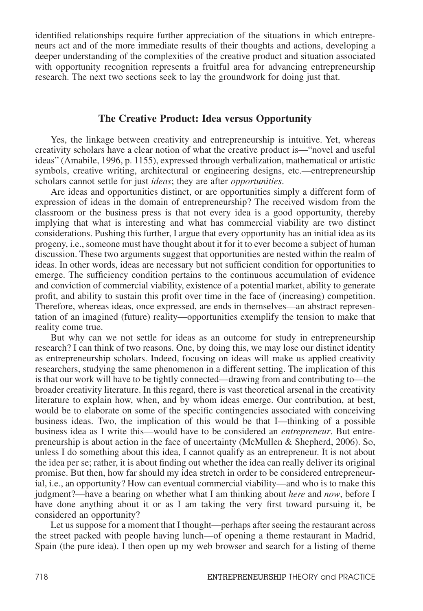identified relationships require further appreciation of the situations in which entrepreneurs act and of the more immediate results of their thoughts and actions, developing a deeper understanding of the complexities of the creative product and situation associated with opportunity recognition represents a fruitful area for advancing entrepreneurship research. The next two sections seek to lay the groundwork for doing just that.

#### **The Creative Product: Idea versus Opportunity**

Yes, the linkage between creativity and entrepreneurship is intuitive. Yet, whereas creativity scholars have a clear notion of what the creative product is—"novel and useful ideas" (Amabile, 1996, p. 1155), expressed through verbalization, mathematical or artistic symbols, creative writing, architectural or engineering designs, etc.—entrepreneurship scholars cannot settle for just *ideas*; they are after *opportunities*.

Are ideas and opportunities distinct, or are opportunities simply a different form of expression of ideas in the domain of entrepreneurship? The received wisdom from the classroom or the business press is that not every idea is a good opportunity, thereby implying that what is interesting and what has commercial viability are two distinct considerations. Pushing this further, I argue that every opportunity has an initial idea as its progeny, i.e., someone must have thought about it for it to ever become a subject of human discussion. These two arguments suggest that opportunities are nested within the realm of ideas. In other words, ideas are necessary but not sufficient condition for opportunities to emerge. The sufficiency condition pertains to the continuous accumulation of evidence and conviction of commercial viability, existence of a potential market, ability to generate profit, and ability to sustain this profit over time in the face of (increasing) competition. Therefore, whereas ideas, once expressed, are ends in themselves—an abstract representation of an imagined (future) reality—opportunities exemplify the tension to make that reality come true.

But why can we not settle for ideas as an outcome for study in entrepreneurship research? I can think of two reasons. One, by doing this, we may lose our distinct identity as entrepreneurship scholars. Indeed, focusing on ideas will make us applied creativity researchers, studying the same phenomenon in a different setting. The implication of this is that our work will have to be tightly connected—drawing from and contributing to—the broader creativity literature. In this regard, there is vast theoretical arsenal in the creativity literature to explain how, when, and by whom ideas emerge. Our contribution, at best, would be to elaborate on some of the specific contingencies associated with conceiving business ideas. Two, the implication of this would be that I—thinking of a possible business idea as I write this—would have to be considered an *entrepreneur*. But entrepreneurship is about action in the face of uncertainty (McMullen & Shepherd, 2006). So, unless I do something about this idea, I cannot qualify as an entrepreneur. It is not about the idea per se; rather, it is about finding out whether the idea can really deliver its original promise. But then, how far should my idea stretch in order to be considered entrepreneurial, i.e., an opportunity? How can eventual commercial viability—and who is to make this judgment?—have a bearing on whether what I am thinking about *here* and *now*, before I have done anything about it or as I am taking the very first toward pursuing it, be considered an opportunity?

Let us suppose for a moment that I thought—perhaps after seeing the restaurant across the street packed with people having lunch—of opening a theme restaurant in Madrid, Spain (the pure idea). I then open up my web browser and search for a listing of theme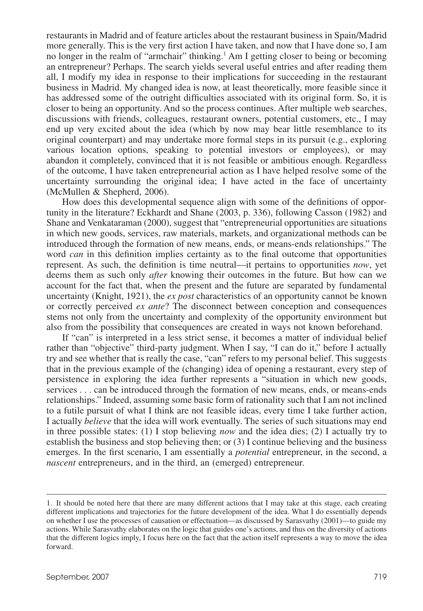restaurants in Madrid and of feature articles about the restaurant business in Spain/Madrid more generally. This is the very first action I have taken, and now that I have done so, I am no longer in the realm of "armchair" thinking.<sup>1</sup> Am I getting closer to being or becoming an entrepreneur? Perhaps. The search yields several useful entries and after reading them all, I modify my idea in response to their implications for succeeding in the restaurant business in Madrid. My changed idea is now, at least theoretically, more feasible since it has addressed some of the outright difficulties associated with its original form. So, it is closer to being an opportunity. And so the process continues. After multiple web searches, discussions with friends, colleagues, restaurant owners, potential customers, etc., I may end up very excited about the idea (which by now may bear little resemblance to its original counterpart) and may undertake more formal steps in its pursuit (e.g., exploring various location options, speaking to potential investors or employees), or may abandon it completely, convinced that it is not feasible or ambitious enough. Regardless of the outcome, I have taken entrepreneurial action as I have helped resolve some of the uncertainty surrounding the original idea; I have acted in the face of uncertainty (McMullen & Shepherd, 2006).

How does this developmental sequence align with some of the definitions of opportunity in the literature? Eckhardt and Shane (2003, p. 336), following Casson (1982) and Shane and Venkataraman (2000), suggest that "entrepreneurial opportunities are situations in which new goods, services, raw materials, markets, and organizational methods can be introduced through the formation of new means, ends, or means-ends relationships." The word *can* in this definition implies certainty as to the final outcome that opportunities represent. As such, the definition is time neutral—it pertains to opportunities *now*, yet deems them as such only *after* knowing their outcomes in the future. But how can we account for the fact that, when the present and the future are separated by fundamental uncertainty (Knight, 1921), the *ex post* characteristics of an opportunity cannot be known or correctly perceived *ex ante*? The disconnect between conception and consequences stems not only from the uncertainty and complexity of the opportunity environment but also from the possibility that consequences are created in ways not known beforehand.

If "can" is interpreted in a less strict sense, it becomes a matter of individual belief rather than "objective" third-party judgment. When I say, "I can do it," before I actually try and see whether that is really the case, "can" refers to my personal belief. This suggests that in the previous example of the (changing) idea of opening a restaurant, every step of persistence in exploring the idea further represents a "situation in which new goods, services . . . can be introduced through the formation of new means, ends, or means-ends relationships." Indeed, assuming some basic form of rationality such that I am not inclined to a futile pursuit of what I think are not feasible ideas, every time I take further action, I actually *believe* that the idea will work eventually. The series of such situations may end in three possible states: (1) I stop believing *now* and the idea dies; (2) I actually try to establish the business and stop believing then; or (3) I continue believing and the business emerges. In the first scenario, I am essentially a *potential* entrepreneur, in the second, a *nascent* entrepreneurs, and in the third, an (emerged) entrepreneur.

<sup>1.</sup> It should be noted here that there are many different actions that I may take at this stage, each creating different implications and trajectories for the future development of the idea. What I do essentially depends on whether I use the processes of causation or effectuation—as discussed by Sarasvathy (2001)—to guide my actions. While Sarasvathy elaborates on the logic that guides one's actions, and thus on the diversity of actions that the different logics imply, I focus here on the fact that the action itself represents a way to move the idea forward.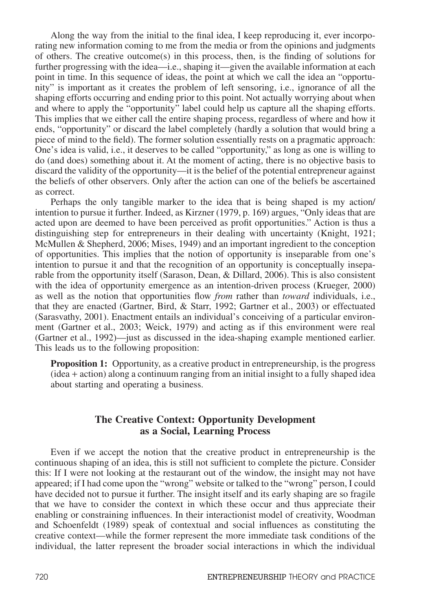Along the way from the initial to the final idea, I keep reproducing it, ever incorporating new information coming to me from the media or from the opinions and judgments of others. The creative outcome(s) in this process, then, is the finding of solutions for further progressing with the idea—i.e., shaping it—given the available information at each point in time. In this sequence of ideas, the point at which we call the idea an "opportunity" is important as it creates the problem of left sensoring, i.e., ignorance of all the shaping efforts occurring and ending prior to this point. Not actually worrying about when and where to apply the "opportunity" label could help us capture all the shaping efforts. This implies that we either call the entire shaping process, regardless of where and how it ends, "opportunity" or discard the label completely (hardly a solution that would bring a piece of mind to the field). The former solution essentially rests on a pragmatic approach: One's idea is valid, i.e., it deserves to be called "opportunity," as long as one is willing to do (and does) something about it. At the moment of acting, there is no objective basis to discard the validity of the opportunity—it is the belief of the potential entrepreneur against the beliefs of other observers. Only after the action can one of the beliefs be ascertained as correct.

Perhaps the only tangible marker to the idea that is being shaped is my action/ intention to pursue it further. Indeed, as Kirzner (1979, p. 169) argues, "Only ideas that are acted upon are deemed to have been perceived as profit opportunities." Action is thus a distinguishing step for entrepreneurs in their dealing with uncertainty (Knight, 1921; McMullen & Shepherd, 2006; Mises, 1949) and an important ingredient to the conception of opportunities. This implies that the notion of opportunity is inseparable from one's intention to pursue it and that the recognition of an opportunity is conceptually inseparable from the opportunity itself (Sarason, Dean, & Dillard, 2006). This is also consistent with the idea of opportunity emergence as an intention-driven process (Krueger, 2000) as well as the notion that opportunities flow *from* rather than *toward* individuals, i.e., that they are enacted (Gartner, Bird, & Starr, 1992; Gartner et al., 2003) or effectuated (Sarasvathy, 2001). Enactment entails an individual's conceiving of a particular environment (Gartner et al., 2003; Weick, 1979) and acting as if this environment were real (Gartner et al., 1992)—just as discussed in the idea-shaping example mentioned earlier. This leads us to the following proposition:

**Proposition 1:** Opportunity, as a creative product in entrepreneurship, is the progress (idea + action) along a continuum ranging from an initial insight to a fully shaped idea about starting and operating a business.

## **The Creative Context: Opportunity Development as a Social, Learning Process**

Even if we accept the notion that the creative product in entrepreneurship is the continuous shaping of an idea, this is still not sufficient to complete the picture. Consider this: If I were not looking at the restaurant out of the window, the insight may not have appeared; if I had come upon the "wrong" website or talked to the "wrong" person, I could have decided not to pursue it further. The insight itself and its early shaping are so fragile that we have to consider the context in which these occur and thus appreciate their enabling or constraining influences. In their interactionist model of creativity, Woodman and Schoenfeldt (1989) speak of contextual and social influences as constituting the creative context—while the former represent the more immediate task conditions of the individual, the latter represent the broader social interactions in which the individual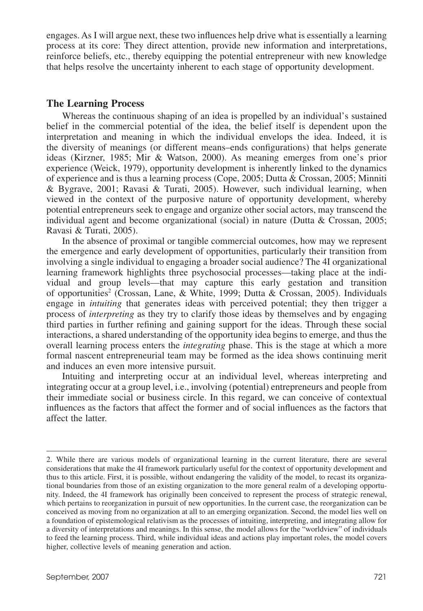engages. As I will argue next, these two influences help drive what is essentially a learning process at its core: They direct attention, provide new information and interpretations, reinforce beliefs, etc., thereby equipping the potential entrepreneur with new knowledge that helps resolve the uncertainty inherent to each stage of opportunity development.

#### **The Learning Process**

Whereas the continuous shaping of an idea is propelled by an individual's sustained belief in the commercial potential of the idea, the belief itself is dependent upon the interpretation and meaning in which the individual envelops the idea. Indeed, it is the diversity of meanings (or different means–ends configurations) that helps generate ideas (Kirzner, 1985; Mir & Watson, 2000). As meaning emerges from one's prior experience (Weick, 1979), opportunity development is inherently linked to the dynamics of experience and is thus a learning process (Cope, 2005; Dutta & Crossan, 2005; Minniti & Bygrave, 2001; Ravasi & Turati, 2005). However, such individual learning, when viewed in the context of the purposive nature of opportunity development, whereby potential entrepreneurs seek to engage and organize other social actors, may transcend the individual agent and become organizational (social) in nature (Dutta & Crossan, 2005; Ravasi & Turati, 2005).

In the absence of proximal or tangible commercial outcomes, how may we represent the emergence and early development of opportunities, particularly their transition from involving a single individual to engaging a broader social audience? The 4I organizational learning framework highlights three psychosocial processes—taking place at the individual and group levels—that may capture this early gestation and transition of opportunities<sup>2</sup> (Crossan, Lane, & White, 1999; Dutta & Crossan, 2005). Individuals engage in *intuiting* that generates ideas with perceived potential; they then trigger a process of *interpreting* as they try to clarify those ideas by themselves and by engaging third parties in further refining and gaining support for the ideas. Through these social interactions, a shared understanding of the opportunity idea begins to emerge, and thus the overall learning process enters the *integrating* phase. This is the stage at which a more formal nascent entrepreneurial team may be formed as the idea shows continuing merit and induces an even more intensive pursuit.

Intuiting and interpreting occur at an individual level, whereas interpreting and integrating occur at a group level, i.e., involving (potential) entrepreneurs and people from their immediate social or business circle. In this regard, we can conceive of contextual influences as the factors that affect the former and of social influences as the factors that affect the latter.

<sup>2.</sup> While there are various models of organizational learning in the current literature, there are several considerations that make the 4I framework particularly useful for the context of opportunity development and thus to this article. First, it is possible, without endangering the validity of the model, to recast its organizational boundaries from those of an existing organization to the more general realm of a developing opportunity. Indeed, the 4I framework has originally been conceived to represent the process of strategic renewal, which pertains to reorganization in pursuit of new opportunities. In the current case, the reorganization can be conceived as moving from no organization at all to an emerging organization. Second, the model lies well on a foundation of epistemological relativism as the processes of intuiting, interpreting, and integrating allow for a diversity of interpretations and meanings. In this sense, the model allows for the "worldview" of individuals to feed the learning process. Third, while individual ideas and actions play important roles, the model covers higher, collective levels of meaning generation and action.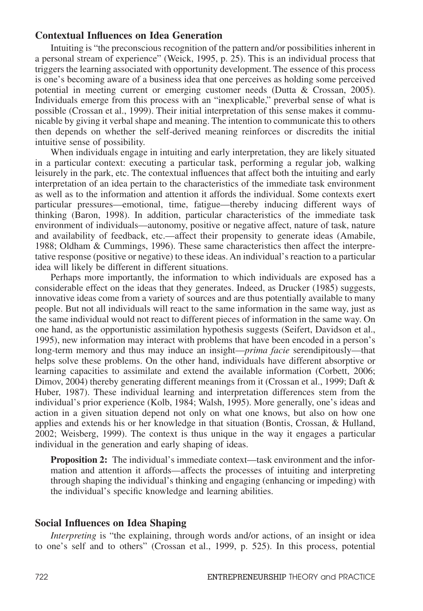## **Contextual Influences on Idea Generation**

Intuiting is "the preconscious recognition of the pattern and/or possibilities inherent in a personal stream of experience" (Weick, 1995, p. 25). This is an individual process that triggers the learning associated with opportunity development. The essence of this process is one's becoming aware of a business idea that one perceives as holding some perceived potential in meeting current or emerging customer needs (Dutta & Crossan, 2005). Individuals emerge from this process with an "inexplicable," preverbal sense of what is possible (Crossan et al., 1999). Their initial interpretation of this sense makes it communicable by giving it verbal shape and meaning. The intention to communicate this to others then depends on whether the self-derived meaning reinforces or discredits the initial intuitive sense of possibility.

When individuals engage in intuiting and early interpretation, they are likely situated in a particular context: executing a particular task, performing a regular job, walking leisurely in the park, etc. The contextual influences that affect both the intuiting and early interpretation of an idea pertain to the characteristics of the immediate task environment as well as to the information and attention it affords the individual. Some contexts exert particular pressures—emotional, time, fatigue—thereby inducing different ways of thinking (Baron, 1998). In addition, particular characteristics of the immediate task environment of individuals—autonomy, positive or negative affect, nature of task, nature and availability of feedback, etc.—affect their propensity to generate ideas (Amabile, 1988; Oldham & Cummings, 1996). These same characteristics then affect the interpretative response (positive or negative) to these ideas. An individual's reaction to a particular idea will likely be different in different situations.

Perhaps more importantly, the information to which individuals are exposed has a considerable effect on the ideas that they generates. Indeed, as Drucker (1985) suggests, innovative ideas come from a variety of sources and are thus potentially available to many people. But not all individuals will react to the same information in the same way, just as the same individual would not react to different pieces of information in the same way. On one hand, as the opportunistic assimilation hypothesis suggests (Seifert, Davidson et al., 1995), new information may interact with problems that have been encoded in a person's long-term memory and thus may induce an insight—*prima facie* serendipitously—that helps solve these problems. On the other hand, individuals have different absorptive or learning capacities to assimilate and extend the available information (Corbett, 2006; Dimov, 2004) thereby generating different meanings from it (Crossan et al., 1999; Daft & Huber, 1987). These individual learning and interpretation differences stem from the individual's prior experience (Kolb, 1984; Walsh, 1995). More generally, one's ideas and action in a given situation depend not only on what one knows, but also on how one applies and extends his or her knowledge in that situation (Bontis, Crossan, & Hulland, 2002; Weisberg, 1999). The context is thus unique in the way it engages a particular individual in the generation and early shaping of ideas.

**Proposition 2:** The individual's immediate context—task environment and the information and attention it affords—affects the processes of intuiting and interpreting through shaping the individual's thinking and engaging (enhancing or impeding) with the individual's specific knowledge and learning abilities.

## **Social Influences on Idea Shaping**

*Interpreting* is "the explaining, through words and/or actions, of an insight or idea to one's self and to others" (Crossan et al., 1999, p. 525). In this process, potential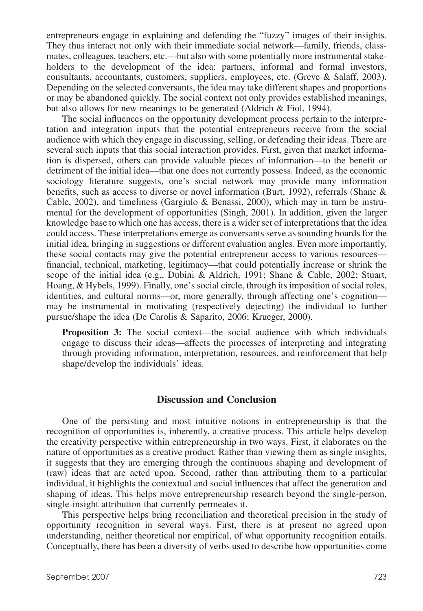entrepreneurs engage in explaining and defending the "fuzzy" images of their insights. They thus interact not only with their immediate social network—family, friends, classmates, colleagues, teachers, etc.—but also with some potentially more instrumental stakeholders to the development of the idea: partners, informal and formal investors, consultants, accountants, customers, suppliers, employees, etc. (Greve & Salaff, 2003). Depending on the selected conversants, the idea may take different shapes and proportions or may be abandoned quickly. The social context not only provides established meanings, but also allows for new meanings to be generated (Aldrich & Fiol, 1994).

The social influences on the opportunity development process pertain to the interpretation and integration inputs that the potential entrepreneurs receive from the social audience with which they engage in discussing, selling, or defending their ideas. There are several such inputs that this social interaction provides. First, given that market information is dispersed, others can provide valuable pieces of information—to the benefit or detriment of the initial idea—that one does not currently possess. Indeed, as the economic sociology literature suggests, one's social network may provide many information benefits, such as access to diverse or novel information (Burt, 1992), referrals (Shane  $\&$ Cable, 2002), and timeliness (Gargiulo & Benassi, 2000), which may in turn be instrumental for the development of opportunities (Singh, 2001). In addition, given the larger knowledge base to which one has access, there is a wider set of interpretations that the idea could access. These interpretations emerge as conversants serve as sounding boards for the initial idea, bringing in suggestions or different evaluation angles. Even more importantly, these social contacts may give the potential entrepreneur access to various resources financial, technical, marketing, legitimacy—that could potentially increase or shrink the scope of the initial idea (e.g., Dubini & Aldrich, 1991; Shane & Cable, 2002; Stuart, Hoang, & Hybels, 1999). Finally, one's social circle, through its imposition of social roles, identities, and cultural norms—or, more generally, through affecting one's cognition may be instrumental in motivating (respectively dejecting) the individual to further pursue/shape the idea (De Carolis & Saparito, 2006; Krueger, 2000).

**Proposition 3:** The social context—the social audience with which individuals engage to discuss their ideas—affects the processes of interpreting and integrating through providing information, interpretation, resources, and reinforcement that help shape/develop the individuals' ideas.

#### **Discussion and Conclusion**

One of the persisting and most intuitive notions in entrepreneurship is that the recognition of opportunities is, inherently, a creative process. This article helps develop the creativity perspective within entrepreneurship in two ways. First, it elaborates on the nature of opportunities as a creative product. Rather than viewing them as single insights, it suggests that they are emerging through the continuous shaping and development of (raw) ideas that are acted upon. Second, rather than attributing them to a particular individual, it highlights the contextual and social influences that affect the generation and shaping of ideas. This helps move entrepreneurship research beyond the single-person, single-insight attribution that currently permeates it.

This perspective helps bring reconciliation and theoretical precision in the study of opportunity recognition in several ways. First, there is at present no agreed upon understanding, neither theoretical nor empirical, of what opportunity recognition entails. Conceptually, there has been a diversity of verbs used to describe how opportunities come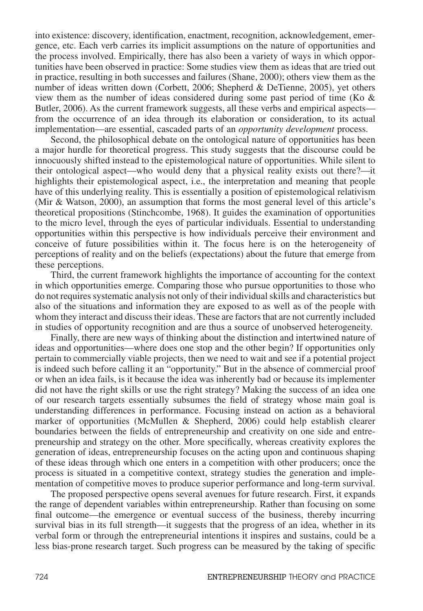into existence: discovery, identification, enactment, recognition, acknowledgement, emergence, etc. Each verb carries its implicit assumptions on the nature of opportunities and the process involved. Empirically, there has also been a variety of ways in which opportunities have been observed in practice: Some studies view them as ideas that are tried out in practice, resulting in both successes and failures (Shane, 2000); others view them as the number of ideas written down (Corbett, 2006; Shepherd & DeTienne, 2005), yet others view them as the number of ideas considered during some past period of time (Ko  $\&$ Butler, 2006). As the current framework suggests, all these verbs and empirical aspects from the occurrence of an idea through its elaboration or consideration, to its actual implementation—are essential, cascaded parts of an *opportunity development* process.

Second, the philosophical debate on the ontological nature of opportunities has been a major hurdle for theoretical progress. This study suggests that the discourse could be innocuously shifted instead to the epistemological nature of opportunities. While silent to their ontological aspect—who would deny that a physical reality exists out there?—it highlights their epistemological aspect, i.e., the interpretation and meaning that people have of this underlying reality. This is essentially a position of epistemological relativism (Mir & Watson, 2000), an assumption that forms the most general level of this article's theoretical propositions (Stinchcombe, 1968). It guides the examination of opportunities to the micro level, through the eyes of particular individuals. Essential to understanding opportunities within this perspective is how individuals perceive their environment and conceive of future possibilities within it. The focus here is on the heterogeneity of perceptions of reality and on the beliefs (expectations) about the future that emerge from these perceptions.

Third, the current framework highlights the importance of accounting for the context in which opportunities emerge. Comparing those who pursue opportunities to those who do not requires systematic analysis not only of their individual skills and characteristics but also of the situations and information they are exposed to as well as of the people with whom they interact and discuss their ideas. These are factors that are not currently included in studies of opportunity recognition and are thus a source of unobserved heterogeneity.

Finally, there are new ways of thinking about the distinction and intertwined nature of ideas and opportunities—where does one stop and the other begin? If opportunities only pertain to commercially viable projects, then we need to wait and see if a potential project is indeed such before calling it an "opportunity." But in the absence of commercial proof or when an idea fails, is it because the idea was inherently bad or because its implementer did not have the right skills or use the right strategy? Making the success of an idea one of our research targets essentially subsumes the field of strategy whose main goal is understanding differences in performance. Focusing instead on action as a behavioral marker of opportunities (McMullen & Shepherd, 2006) could help establish clearer boundaries between the fields of entrepreneurship and creativity on one side and entrepreneurship and strategy on the other. More specifically, whereas creativity explores the generation of ideas, entrepreneurship focuses on the acting upon and continuous shaping of these ideas through which one enters in a competition with other producers; once the process is situated in a competitive context, strategy studies the generation and implementation of competitive moves to produce superior performance and long-term survival.

The proposed perspective opens several avenues for future research. First, it expands the range of dependent variables within entrepreneurship. Rather than focusing on some final outcome—the emergence or eventual success of the business, thereby incurring survival bias in its full strength—it suggests that the progress of an idea, whether in its verbal form or through the entrepreneurial intentions it inspires and sustains, could be a less bias-prone research target. Such progress can be measured by the taking of specific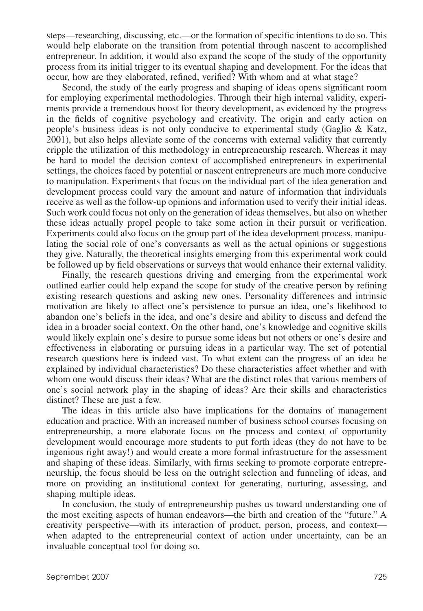steps—researching, discussing, etc.—or the formation of specific intentions to do so. This would help elaborate on the transition from potential through nascent to accomplished entrepreneur. In addition, it would also expand the scope of the study of the opportunity process from its initial trigger to its eventual shaping and development. For the ideas that occur, how are they elaborated, refined, verified? With whom and at what stage?

Second, the study of the early progress and shaping of ideas opens significant room for employing experimental methodologies. Through their high internal validity, experiments provide a tremendous boost for theory development, as evidenced by the progress in the fields of cognitive psychology and creativity. The origin and early action on people's business ideas is not only conducive to experimental study (Gaglio & Katz, 2001), but also helps alleviate some of the concerns with external validity that currently cripple the utilization of this methodology in entrepreneurship research. Whereas it may be hard to model the decision context of accomplished entrepreneurs in experimental settings, the choices faced by potential or nascent entrepreneurs are much more conducive to manipulation. Experiments that focus on the individual part of the idea generation and development process could vary the amount and nature of information that individuals receive as well as the follow-up opinions and information used to verify their initial ideas. Such work could focus not only on the generation of ideas themselves, but also on whether these ideas actually propel people to take some action in their pursuit or verification. Experiments could also focus on the group part of the idea development process, manipulating the social role of one's conversants as well as the actual opinions or suggestions they give. Naturally, the theoretical insights emerging from this experimental work could be followed up by field observations or surveys that would enhance their external validity.

Finally, the research questions driving and emerging from the experimental work outlined earlier could help expand the scope for study of the creative person by refining existing research questions and asking new ones. Personality differences and intrinsic motivation are likely to affect one's persistence to pursue an idea, one's likelihood to abandon one's beliefs in the idea, and one's desire and ability to discuss and defend the idea in a broader social context. On the other hand, one's knowledge and cognitive skills would likely explain one's desire to pursue some ideas but not others or one's desire and effectiveness in elaborating or pursuing ideas in a particular way. The set of potential research questions here is indeed vast. To what extent can the progress of an idea be explained by individual characteristics? Do these characteristics affect whether and with whom one would discuss their ideas? What are the distinct roles that various members of one's social network play in the shaping of ideas? Are their skills and characteristics distinct? These are just a few.

The ideas in this article also have implications for the domains of management education and practice. With an increased number of business school courses focusing on entrepreneurship, a more elaborate focus on the process and context of opportunity development would encourage more students to put forth ideas (they do not have to be ingenious right away!) and would create a more formal infrastructure for the assessment and shaping of these ideas. Similarly, with firms seeking to promote corporate entrepreneurship, the focus should be less on the outright selection and funneling of ideas, and more on providing an institutional context for generating, nurturing, assessing, and shaping multiple ideas.

In conclusion, the study of entrepreneurship pushes us toward understanding one of the most exciting aspects of human endeavors—the birth and creation of the "future." A creativity perspective—with its interaction of product, person, process, and context when adapted to the entrepreneurial context of action under uncertainty, can be an invaluable conceptual tool for doing so.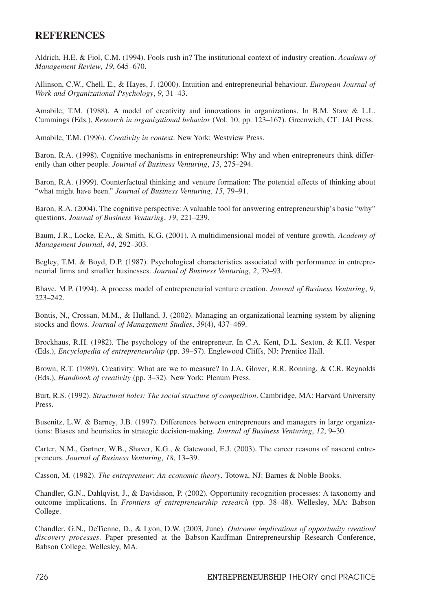# **REFERENCES**

Aldrich, H.E. & Fiol, C.M. (1994). Fools rush in? The institutional context of industry creation. *Academy of Management Review*, *19*, 645–670.

Allinson, C.W., Chell, E., & Hayes, J. (2000). Intuition and entrepreneurial behaviour. *European Journal of Work and Organizational Psychology*, *9*, 31–43.

Amabile, T.M. (1988). A model of creativity and innovations in organizations. In B.M. Staw & L.L. Cummings (Eds.), *Research in organizational behavior* (Vol. 10, pp. 123–167). Greenwich, CT: JAI Press.

Amabile, T.M. (1996). *Creativity in context*. New York: Westview Press.

Baron, R.A. (1998). Cognitive mechanisms in entrepreneurship: Why and when entrepreneurs think differently than other people. *Journal of Business Venturing*, *13*, 275–294.

Baron, R.A. (1999). Counterfactual thinking and venture formation: The potential effects of thinking about "what might have been." *Journal of Business Venturing*, *15*, 79–91.

Baron, R.A. (2004). The cognitive perspective: A valuable tool for answering entrepreneurship's basic "why" questions. *Journal of Business Venturing*, *19*, 221–239.

Baum, J.R., Locke, E.A., & Smith, K.G. (2001). A multidimensional model of venture growth. *Academy of Management Journal*, *44*, 292–303.

Begley, T.M. & Boyd, D.P. (1987). Psychological characteristics associated with performance in entrepreneurial firms and smaller businesses. *Journal of Business Venturing*, *2*, 79–93.

Bhave, M.P. (1994). A process model of entrepreneurial venture creation. *Journal of Business Venturing*, *9*, 223–242.

Bontis, N., Crossan, M.M., & Hulland, J. (2002). Managing an organizational learning system by aligning stocks and flows. *Journal of Management Studies*, *39*(4), 437–469.

Brockhaus, R.H. (1982). The psychology of the entrepreneur. In C.A. Kent, D.L. Sexton, & K.H. Vesper (Eds.), *Encyclopedia of entrepreneurship* (pp. 39–57). Englewood Cliffs, NJ: Prentice Hall.

Brown, R.T. (1989). Creativity: What are we to measure? In J.A. Glover, R.R. Ronning, & C.R. Reynolds (Eds.), *Handbook of creativity* (pp. 3–32). New York: Plenum Press.

Burt, R.S. (1992). *Structural holes: The social structure of competition*. Cambridge, MA: Harvard University Press.

Busenitz, L.W. & Barney, J.B. (1997). Differences between entrepreneurs and managers in large organizations: Biases and heuristics in strategic decision-making. *Journal of Business Venturing*, *12*, 9–30.

Carter, N.M., Gartner, W.B., Shaver, K.G., & Gatewood, E.J. (2003). The career reasons of nascent entrepreneurs. *Journal of Business Venturing*, *18*, 13–39.

Casson, M. (1982). *The entrepreneur: An economic theory*. Totowa, NJ: Barnes & Noble Books.

Chandler, G.N., Dahlqvist, J., & Davidsson, P. (2002). Opportunity recognition processes: A taxonomy and outcome implications. In *Frontiers of entrepreneurship research* (pp. 38–48). Wellesley, MA: Babson College.

Chandler, G.N., DeTienne, D., & Lyon, D.W. (2003, June). *Outcome implications of opportunity creation/ discovery processes*. Paper presented at the Babson-Kauffman Entrepreneurship Research Conference, Babson College, Wellesley, MA.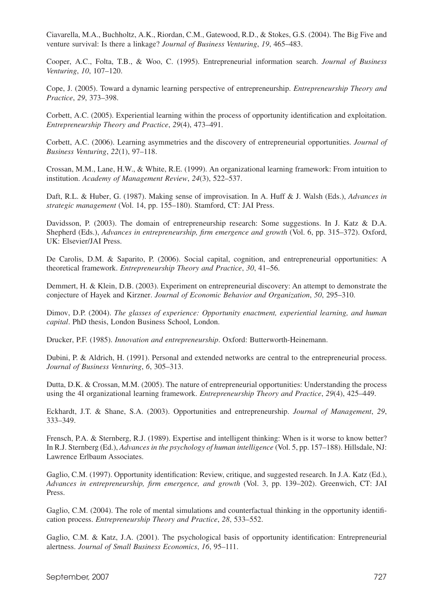Ciavarella, M.A., Buchholtz, A.K., Riordan, C.M., Gatewood, R.D., & Stokes, G.S. (2004). The Big Five and venture survival: Is there a linkage? *Journal of Business Venturing*, *19*, 465–483.

Cooper, A.C., Folta, T.B., & Woo, C. (1995). Entrepreneurial information search. *Journal of Business Venturing*, *10*, 107–120.

Cope, J. (2005). Toward a dynamic learning perspective of entrepreneurship. *Entrepreneurship Theory and Practice*, *29*, 373–398.

Corbett, A.C. (2005). Experiential learning within the process of opportunity identification and exploitation. *Entrepreneurship Theory and Practice*, *29*(4), 473–491.

Corbett, A.C. (2006). Learning asymmetries and the discovery of entrepreneurial opportunities. *Journal of Business Venturing*, *22*(1), 97–118.

Crossan, M.M., Lane, H.W., & White, R.E. (1999). An organizational learning framework: From intuition to institution. *Academy of Management Review*, *24*(3), 522–537.

Daft, R.L. & Huber, G. (1987). Making sense of improvisation. In A. Huff & J. Walsh (Eds.), *Advances in strategic management* (Vol. 14, pp. 155–180). Stamford, CT: JAI Press.

Davidsson, P. (2003). The domain of entrepreneurship research: Some suggestions. In J. Katz & D.A. Shepherd (Eds.), *Advances in entrepreneurship, firm emergence and growth* (Vol. 6, pp. 315–372). Oxford, UK: Elsevier/JAI Press.

De Carolis, D.M. & Saparito, P. (2006). Social capital, cognition, and entrepreneurial opportunities: A theoretical framework. *Entrepreneurship Theory and Practice*, *30*, 41–56.

Demmert, H. & Klein, D.B. (2003). Experiment on entrepreneurial discovery: An attempt to demonstrate the conjecture of Hayek and Kirzner. *Journal of Economic Behavior and Organization*, *50*, 295–310.

Dimov, D.P. (2004). *The glasses of experience: Opportunity enactment, experiential learning, and human capital*. PhD thesis, London Business School, London.

Drucker, P.F. (1985). *Innovation and entrepreneurship*. Oxford: Butterworth-Heinemann.

Dubini, P. & Aldrich, H. (1991). Personal and extended networks are central to the entrepreneurial process. *Journal of Business Venturing*, *6*, 305–313.

Dutta, D.K. & Crossan, M.M. (2005). The nature of entrepreneurial opportunities: Understanding the process using the 4I organizational learning framework. *Entrepreneurship Theory and Practice*, *29*(4), 425–449.

Eckhardt, J.T. & Shane, S.A. (2003). Opportunities and entrepreneurship. *Journal of Management*, *29*, 333–349.

Frensch, P.A. & Sternberg, R.J. (1989). Expertise and intelligent thinking: When is it worse to know better? In R.J. Sternberg (Ed.), *Advances in the psychology of human intelligence* (Vol. 5, pp. 157–188). Hillsdale, NJ: Lawrence Erlbaum Associates.

Gaglio, C.M. (1997). Opportunity identification: Review, critique, and suggested research. In J.A. Katz (Ed.), *Advances in entrepreneurship, firm emergence, and growth* (Vol. 3, pp. 139–202). Greenwich, CT: JAI Press.

Gaglio, C.M. (2004). The role of mental simulations and counterfactual thinking in the opportunity identification process. *Entrepreneurship Theory and Practice*, *28*, 533–552.

Gaglio, C.M. & Katz, J.A. (2001). The psychological basis of opportunity identification: Entrepreneurial alertness. *Journal of Small Business Economics*, *16*, 95–111.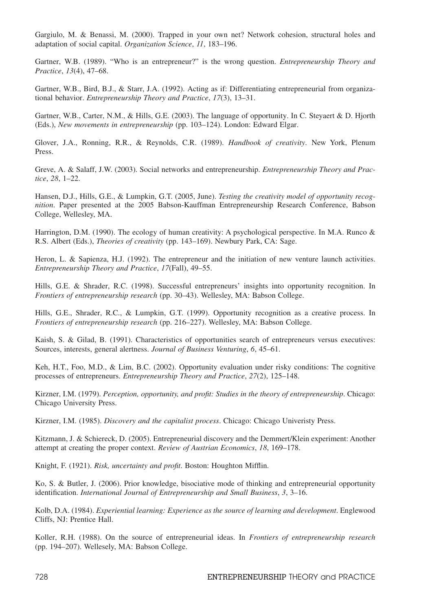Gargiulo, M. & Benassi, M. (2000). Trapped in your own net? Network cohesion, structural holes and adaptation of social capital. *Organization Science*, *11*, 183–196.

Gartner, W.B. (1989). "Who is an entrepreneur?" is the wrong question. *Entrepreneurship Theory and Practice*, *13*(4), 47–68.

Gartner, W.B., Bird, B.J., & Starr, J.A. (1992). Acting as if: Differentiating entrepreneurial from organizational behavior. *Entrepreneurship Theory and Practice*, *17*(3), 13–31.

Gartner, W.B., Carter, N.M., & Hills, G.E. (2003). The language of opportunity. In C. Steyaert & D. Hjorth (Eds.), *New movements in entrepreneurship* (pp. 103–124). London: Edward Elgar.

Glover, J.A., Ronning, R.R., & Reynolds, C.R. (1989). *Handbook of creativity*. New York, Plenum Press.

Greve, A. & Salaff, J.W. (2003). Social networks and entrepreneurship. *Entrepreneurship Theory and Practice*, *28*, 1–22.

Hansen, D.J., Hills, G.E., & Lumpkin, G.T. (2005, June). *Testing the creativity model of opportunity recognition*. Paper presented at the 2005 Babson-Kauffman Entrepreneurship Research Conference, Babson College, Wellesley, MA.

Harrington, D.M. (1990). The ecology of human creativity: A psychological perspective. In M.A. Runco & R.S. Albert (Eds.), *Theories of creativity* (pp. 143–169). Newbury Park, CA: Sage.

Heron, L. & Sapienza, H.J. (1992). The entrepreneur and the initiation of new venture launch activities. *Entrepreneurship Theory and Practice*, *17*(Fall), 49–55.

Hills, G.E. & Shrader, R.C. (1998). Successful entrepreneurs' insights into opportunity recognition. In *Frontiers of entrepreneurship research* (pp. 30–43). Wellesley, MA: Babson College.

Hills, G.E., Shrader, R.C., & Lumpkin, G.T. (1999). Opportunity recognition as a creative process. In *Frontiers of entrepreneurship research* (pp. 216–227). Wellesley, MA: Babson College.

Kaish, S. & Gilad, B. (1991). Characteristics of opportunities search of entrepreneurs versus executives: Sources, interests, general alertness. *Journal of Business Venturing*, *6*, 45–61.

Keh, H.T., Foo, M.D., & Lim, B.C. (2002). Opportunity evaluation under risky conditions: The cognitive processes of entrepreneurs. *Entrepreneurship Theory and Practice*, *27*(2), 125–148.

Kirzner, I.M. (1979). *Perception, opportunity, and profit: Studies in the theory of entrepreneurship*. Chicago: Chicago University Press.

Kirzner, I.M. (1985). *Discovery and the capitalist process*. Chicago: Chicago Univeristy Press.

Kitzmann, J. & Schiereck, D. (2005). Entrepreneurial discovery and the Demmert/Klein experiment: Another attempt at creating the proper context. *Review of Austrian Economics*, *18*, 169–178.

Knight, F. (1921). *Risk, uncertainty and profit*. Boston: Houghton Mifflin.

Ko, S. & Butler, J. (2006). Prior knowledge, bisociative mode of thinking and entrepreneurial opportunity identification. *International Journal of Entrepreneurship and Small Business*, *3*, 3–16.

Kolb, D.A. (1984). *Experiential learning: Experience as the source of learning and development*. Englewood Cliffs, NJ: Prentice Hall.

Koller, R.H. (1988). On the source of entrepreneurial ideas. In *Frontiers of entrepreneurship research* (pp. 194–207). Wellesely, MA: Babson College.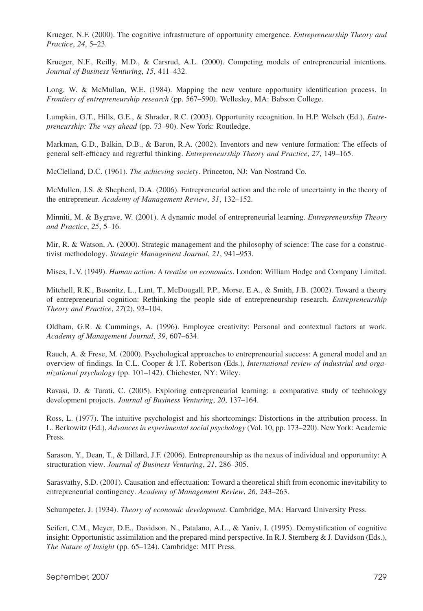Krueger, N.F. (2000). The cognitive infrastructure of opportunity emergence. *Entrepreneurship Theory and Practice*, *24*, 5–23.

Krueger, N.F., Reilly, M.D., & Carsrud, A.L. (2000). Competing models of entrepreneurial intentions. *Journal of Business Venturing*, *15*, 411–432.

Long, W. & McMullan, W.E. (1984). Mapping the new venture opportunity identification process. In *Frontiers of entrepreneurship research* (pp. 567–590). Wellesley, MA: Babson College.

Lumpkin, G.T., Hills, G.E., & Shrader, R.C. (2003). Opportunity recognition. In H.P. Welsch (Ed.), *Entrepreneurship: The way ahead* (pp. 73–90). New York: Routledge.

Markman, G.D., Balkin, D.B., & Baron, R.A. (2002). Inventors and new venture formation: The effects of general self-efficacy and regretful thinking. *Entrepreneurship Theory and Practice*, *27*, 149–165.

McClelland, D.C. (1961). *The achieving society*. Princeton, NJ: Van Nostrand Co.

McMullen, J.S. & Shepherd, D.A. (2006). Entrepreneurial action and the role of uncertainty in the theory of the entrepreneur. *Academy of Management Review*, *31*, 132–152.

Minniti, M. & Bygrave, W. (2001). A dynamic model of entrepreneurial learning. *Entrepreneurship Theory and Practice*, *25*, 5–16.

Mir, R. & Watson, A. (2000). Strategic management and the philosophy of science: The case for a constructivist methodology. *Strategic Management Journal*, *21*, 941–953.

Mises, L.V. (1949). *Human action: A treatise on economics*. London: William Hodge and Company Limited.

Mitchell, R.K., Busenitz, L., Lant, T., McDougall, P.P., Morse, E.A., & Smith, J.B. (2002). Toward a theory of entrepreneurial cognition: Rethinking the people side of entrepreneurship research. *Entrepreneurship Theory and Practice*, *27*(2), 93–104.

Oldham, G.R. & Cummings, A. (1996). Employee creativity: Personal and contextual factors at work. *Academy of Management Journal*, *39*, 607–634.

Rauch, A. & Frese, M. (2000). Psychological approaches to entrepreneurial success: A general model and an overview of findings. In C.L. Cooper & I.T. Robertson (Eds.), *International review of industrial and organizational psychology* (pp. 101–142). Chichester, NY: Wiley.

Ravasi, D. & Turati, C. (2005). Exploring entrepreneurial learning: a comparative study of technology development projects. *Journal of Business Venturing*, *20*, 137–164.

Ross, L. (1977). The intuitive psychologist and his shortcomings: Distortions in the attribution process. In L. Berkowitz (Ed.), *Advances in experimental social psychology* (Vol. 10, pp. 173–220). NewYork: Academic Press.

Sarason, Y., Dean, T., & Dillard, J.F. (2006). Entrepreneurship as the nexus of individual and opportunity: A structuration view. *Journal of Business Venturing*, *21*, 286–305.

Sarasvathy, S.D. (2001). Causation and effectuation: Toward a theoretical shift from economic inevitability to entrepreneurial contingency. *Academy of Management Review*, *26*, 243–263.

Schumpeter, J. (1934). *Theory of economic development*. Cambridge, MA: Harvard University Press.

Seifert, C.M., Meyer, D.E., Davidson, N., Patalano, A.L., & Yaniv, I. (1995). Demystification of cognitive insight: Opportunistic assimilation and the prepared-mind perspective. In R.J. Sternberg & J. Davidson (Eds.), *The Nature of Insight* (pp. 65–124). Cambridge: MIT Press.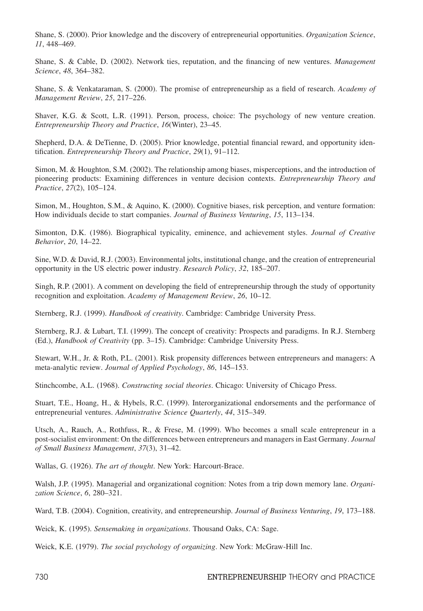Shane, S. (2000). Prior knowledge and the discovery of entrepreneurial opportunities. *Organization Science*, *11*, 448–469.

Shane, S. & Cable, D. (2002). Network ties, reputation, and the financing of new ventures. *Management Science*, *48*, 364–382.

Shane, S. & Venkataraman, S. (2000). The promise of entrepreneurship as a field of research. *Academy of Management Review*, *25*, 217–226.

Shaver, K.G. & Scott, L.R. (1991). Person, process, choice: The psychology of new venture creation. *Entrepreneurship Theory and Practice*, *16*(Winter), 23–45.

Shepherd, D.A. & DeTienne, D. (2005). Prior knowledge, potential financial reward, and opportunity identification. *Entrepreneurship Theory and Practice*, *29*(1), 91–112.

Simon, M. & Houghton, S.M. (2002). The relationship among biases, misperceptions, and the introduction of pioneering products: Examining differences in venture decision contexts. *Entrepreneurship Theory and Practice*, *27*(2), 105–124.

Simon, M., Houghton, S.M., & Aquino, K. (2000). Cognitive biases, risk perception, and venture formation: How individuals decide to start companies. *Journal of Business Venturing*, *15*, 113–134.

Simonton, D.K. (1986). Biographical typicality, eminence, and achievement styles. *Journal of Creative Behavior*, *20*, 14–22.

Sine, W.D. & David, R.J. (2003). Environmental jolts, institutional change, and the creation of entrepreneurial opportunity in the US electric power industry. *Research Policy*, *32*, 185–207.

Singh, R.P. (2001). A comment on developing the field of entrepreneurship through the study of opportunity recognition and exploitation. *Academy of Management Review*, *26*, 10–12.

Sternberg, R.J. (1999). *Handbook of creativity*. Cambridge: Cambridge University Press.

Sternberg, R.J. & Lubart, T.I. (1999). The concept of creativity: Prospects and paradigms. In R.J. Sternberg (Ed.), *Handbook of Creativity* (pp. 3–15). Cambridge: Cambridge University Press.

Stewart, W.H., Jr. & Roth, P.L. (2001). Risk propensity differences between entrepreneurs and managers: A meta-analytic review. *Journal of Applied Psychology*, *86*, 145–153.

Stinchcombe, A.L. (1968). *Constructing social theories*. Chicago: University of Chicago Press.

Stuart, T.E., Hoang, H., & Hybels, R.C. (1999). Interorganizational endorsements and the performance of entrepreneurial ventures. *Administrative Science Quarterly*, *44*, 315–349.

Utsch, A., Rauch, A., Rothfuss, R., & Frese, M. (1999). Who becomes a small scale entrepreneur in a post-socialist environment: On the differences between entrepreneurs and managers in East Germany. *Journal of Small Business Management*, *37*(3), 31–42.

Wallas, G. (1926). *The art of thought*. New York: Harcourt-Brace.

Walsh, J.P. (1995). Managerial and organizational cognition: Notes from a trip down memory lane. *Organization Science*, *6*, 280–321.

Ward, T.B. (2004). Cognition, creativity, and entrepreneurship. *Journal of Business Venturing*, *19*, 173–188.

Weick, K. (1995). *Sensemaking in organizations*. Thousand Oaks, CA: Sage.

Weick, K.E. (1979). *The social psychology of organizing*. New York: McGraw-Hill Inc.